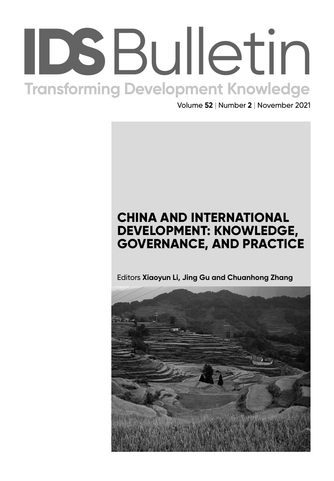# Institute of Development Studies | bulletin.ids.ac.uk **IDS** Bullet[in](http://bulletin.ids.ac.uk) **Transforming Development Knowledge**

Volume **52** | Number **2** | November 2021

# **CHINA AND INTERNATIONAL DEVELOPMENT: KNOWLEDGE, GOVERNANCE, AND PRACTICE**

Editors **Xiaoyun Li, Jing Gu and Chuanhong Zhang**

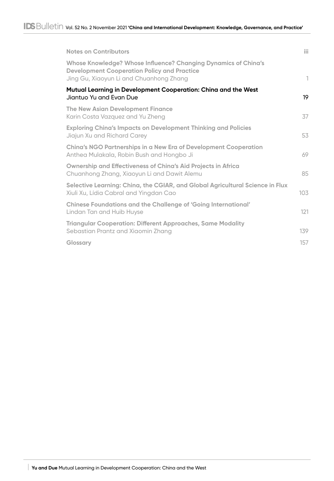| <b>Notes on Contributors</b>                                                                                                                                    | iii          |
|-----------------------------------------------------------------------------------------------------------------------------------------------------------------|--------------|
| Whose Knowledge? Whose Influence? Changing Dynamics of China's<br><b>Development Cooperation Policy and Practice</b><br>Jing Gu, Xiaoyun Li and Chuanhong Zhang | $\mathbf{1}$ |
| Mutual Learning in Development Cooperation: China and the West<br>Jiantuo Yu and Evan Due                                                                       | 19           |
| <b>The New Asian Development Finance</b><br>Karin Costa Vazquez and Yu Zheng                                                                                    | 37           |
| <b>Exploring China's Impacts on Development Thinking and Policies</b><br>Jiajun Xu and Richard Carey                                                            | 53           |
| China's NGO Partnerships in a New Era of Development Cooperation<br>Anthea Mulakala, Robin Bush and Hongbo Ji                                                   | 69           |
| Ownership and Effectiveness of China's Aid Projects in Africa<br>Chuanhong Zhang, Xiaoyun Li and Dawit Alemu                                                    | 85           |
| Selective Learning: China, the CGIAR, and Global Agricultural Science in Flux<br>Xiuli Xu, Lídia Cabral and Yingdan Cao                                         | 103          |
| <b>Chinese Foundations and the Challenge of 'Going International'</b><br>Lindan Tan and Huib Huyse                                                              | 121          |
| <b>Triangular Cooperation: Different Approaches, Same Modality</b><br>Sebastian Prantz and Xiaomin Zhang                                                        | 139          |
| Glossary                                                                                                                                                        | 157          |
|                                                                                                                                                                 |              |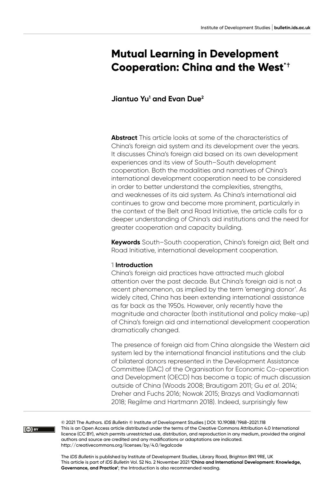# **Mutual Learning in Development Cooperation: China and the West\***

# **Jiantuo Yu1 and Evan Due2**

**Abstract** This article looks at some of the characteristics of China's foreign aid system and its development over the years. It discusses China's foreign aid based on its own development experiences and its view of South–South development cooperation. Both the modalities and narratives of China's international development cooperation need to be considered in order to better understand the complexities, strengths, and weaknesses of its aid system. As China's international aid continues to grow and become more prominent, particularly in the context of the Belt and Road Initiative, the article calls for a deeper understanding of China's aid institutions and the need for greater cooperation and capacity building.

**Keywords** South–South cooperation, China's foreign aid; Belt and Road Initiative, international development cooperation.

#### **1 Introduction**

China's foreign aid practices have attracted much global attention over the past decade. But China's foreign aid is not a recent phenomenon, as implied by the term 'emerging donor'. As widely cited, China has been extending international assistance as far back as the 1950s. However, only recently have the magnitude and character (both institutional and policy make-up) of China's foreign aid and international development cooperation dramatically changed.

The presence of foreign aid from China alongside the Western aid system led by the international financial institutions and the club of bilateral donors represented in the Development Assistance Committee (DAC) of the Organisation for Economic Co-operation and Development (OECD) has become a topic of much discussion outside of China (Woods 2008; Brautigam 2011; Gu *et al*. 2014; Dreher and Fuchs 2016; Nowak 2015; Brazys and Vadlamannati 2018; Regilme and Hartmann 2018). Indeed, surprisingly few

© 2021 The Authors. *IDS Bulletin* © Institute of Development Studies | DOI: 10.19088/1968-2021.118 This is an Open Access article distributed under the terms of the Creative Commons Attribution 4.0 International licence (CC BY), which permits unrestricted use, distribution, and reproduction in any medium, provided the original authors and source are credited and any modifications or adaptations are indicated. <http://creativecommons.org/licenses/by/4.0/legalcode>

The *IDS Bulletin* is published by Institute of Development Studies, Library Road, Brighton BN1 9RE, UK This article is part of *IDS Bulletin* Vol. 52 No. 2 November 2021 **'China and International Development: Knowledge, Governance, and Practice'**; the Introduction is also recommended reading.

#### $\left($ ce) EY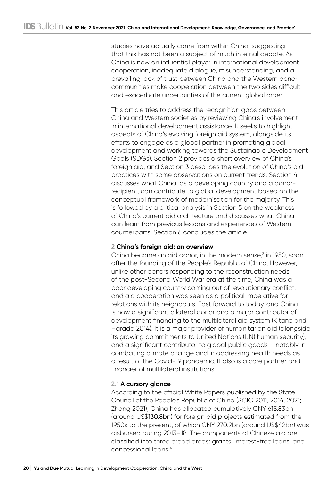studies have actually come from within China, suggesting that this has not been a subject of much internal debate. As China is now an influential player in international development cooperation, inadequate dialogue, misunderstanding, and a prevailing lack of trust between China and the Western donor communities make cooperation between the two sides difficult and exacerbate uncertainties of the current global order.

This article tries to address the recognition gaps between China and Western societies by reviewing China's involvement in international development assistance. It seeks to highlight aspects of China's evolving foreign aid system, alongside its efforts to engage as a global partner in promoting global development and working towards the Sustainable Development Goals (SDGs). Section 2 provides a short overview of China's foreign aid, and Section 3 describes the evolution of China's aid practices with some observations on current trends. Section 4 discusses what China, as a developing country and a donorrecipient, can contribute to global development based on the conceptual framework of modernisation for the majority. This is followed by a critical analysis in Section 5 on the weakness of China's current aid architecture and discusses what China can learn from previous lessons and experiences of Western counterparts. Section 6 concludes the article.

## **2 China's foreign aid: an overview**

China became an aid donor, in the modern sense,<sup>3</sup> in 1950, soon after the founding of the People's Republic of China. However, unlike other donors responding to the reconstruction needs of the post-Second World War era at the time, China was a poor developing country coming out of revolutionary conflict, and aid cooperation was seen as a political imperative for relations with its neighbours. Fast forward to today, and China is now a significant bilateral donor and a major contributor of development financing to the multilateral aid system (Kitano and Harada 2014). It is a major provider of humanitarian aid (alongside its growing commitments to United Nations (UN) human security), and a significant contributor to global public goods – notably in combating climate change and in addressing health needs as a result of the Covid-19 pandemic. It also is a core partner and financier of multilateral institutions.

# **2.1 A cursory glance**

According to the official White Papers published by the State Council of the People's Republic of China (SCIO 2011, 2014, 2021; Zhang 2021), China has allocated cumulatively CNY 615.83bn (around US\$130.8bn) for foreign aid projects estimated from the 1950s to the present, of which CNY 270.2bn (around US\$42bn) was disbursed during 2013–18. The components of Chinese aid are classified into three broad areas: grants, interest-free loans, and concessional loans.4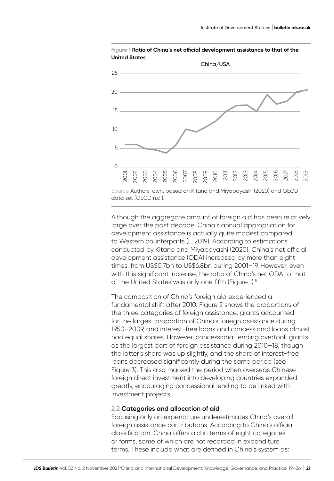

**Figure 1 Ratio of China's net official development assistance to that of the United States**

Although the aggregate amount of foreign aid has been relatively large over the past decade, China's annual appropriation for development assistance is actually quite modest compared to Western counterparts (Li 2019). According to estimations conducted by Kitano and Miyabayashi (2020), China's net official development assistance (ODA) increased by more than eight times, from US\$0.7bn to US\$6.8bn during 2001–19. However, even with this significant increase, the ratio of China's net ODA to that of the United States was only one fifth (Figure 1).5

The composition of China's foreign aid experienced a fundamental shift after 2010. Figure 2 shows the proportions of the three categories of foreign assistance: grants accounted for the largest proportion of China's foreign assistance during 1950–2009, and interest-free loans and concessional loans almost had equal shares. However, concessional lending overtook grants as the largest part of foreign assistance during 2010–18, though the latter's share was up slightly, and the share of interest-free loans decreased significantly during the same period (see Figure 3). This also marked the period when overseas Chinese foreign direct investment into developing countries expanded greatly, encouraging concessional lending to be linked with investment projects.

#### **2.2 Categories and allocation of aid**

Focusing only on expenditure underestimates China's overall foreign assistance contributions. According to China's official classification, China offers aid in terms of eight categories or forms, some of which are not recorded in expenditure terms. These include what are defined in China's system as: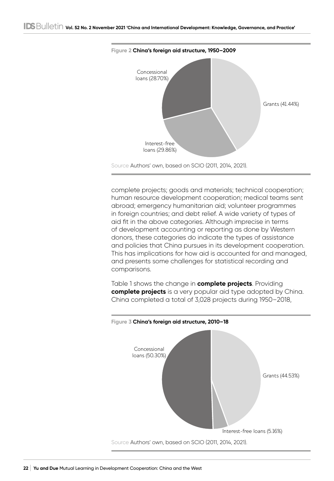

complete projects; goods and materials; technical cooperation; human resource development cooperation; medical teams sent abroad; emergency humanitarian aid; volunteer programmes in foreign countries; and debt relief. A wide variety of types of aid fit in the above categories. Although imprecise in terms of development accounting or reporting as done by Western donors, these categories do indicate the types of assistance and policies that China pursues in its development cooperation. This has implications for how aid is accounted for and managed, and presents some challenges for statistical recording and comparisons.

Table 1 shows the change in **complete projects**. Providing **complete projects** is a very popular aid type adopted by China. China completed a total of 3,028 projects during 1950–2018,

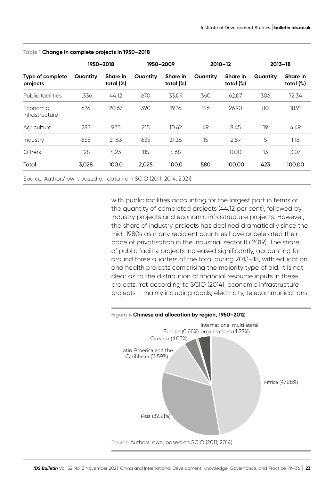| Type of complete<br>projects | 1950-2018 |                       | 1950-2009 |                       | 2010-12  |                       | $2013 - 18$ |                       |
|------------------------------|-----------|-----------------------|-----------|-----------------------|----------|-----------------------|-------------|-----------------------|
|                              | Quantity  | Share in<br>total (%) | Quantity  | Share in<br>total (%) | Quantity | Share in<br>total (%) | Quantity    | Share in<br>total (%) |
| Public facilities            | 1.336     | 44.12                 | 670       | 33.09                 | 360      | 62.07                 | 306         | 72.34                 |
| Economic<br>infrastructure   | 626       | 20.67                 | 390       | 19.26                 | 156      | 26.90                 | 80          | 18.91                 |
| Agriculture                  | 283       | 9.35                  | 215       | 10.62                 | 49       | 8.45                  | 19          | 4.49                  |
| Industry                     | 655       | 21.63                 | 635       | 31.36                 | 15       | 2.59                  | 5           | 1.18                  |
| Others                       | 128       | 4.23                  | 115       | 5.68                  |          | 0.00                  | 13          | 3.07                  |
| Total                        | 3,028     | 100.0                 | 2,025     | 100.0                 | 580      | 100.00                | 423         | 100.00                |

**Table 1 Change in complete projects in 1950–2018**

with public facilities accounting for the largest part in terms of the quantity of completed projects (44.12 per cent), followed by industry projects and economic infrastructure projects. However, the share of industry projects has declined dramatically since the mid-1980s as many recipient countries have accelerated their pace of privatisation in the industrial sector (Li 2019). The share of public facility projects increased significantly, accounting for around three quarters of the total during 2013–18, with education and health projects comprising the majority type of aid. It is not clear as to the distribution of financial resource inputs in these projects. Yet according to SCIO (2014), economic infrastructure projects – mainly including roads, electricity, telecommunications,

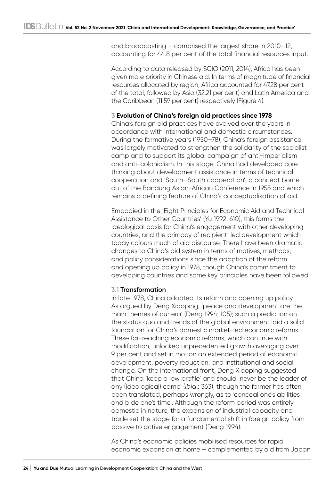and broadcasting – comprised the largest share in 2010–12, accounting for 44.8 per cent of the total financial resources input.

According to data released by SCIO (2011, 2014), Africa has been given more priority in Chinese aid. In terms of magnitude of financial resources allocated by region, Africa accounted for 47.28 per cent of the total, followed by Asia (32.21 per cent) and Latin America and the Caribbean (11.59 per cent) respectively (Figure 4).

#### **3 Evolution of China's foreign aid practices since 1978**

China's foreign aid practices have evolved over the years in accordance with international and domestic circumstances. During the formative years (1950–78), China's foreign assistance was largely motivated to strengthen the solidarity of the socialist camp and to support its global campaign of anti-imperialism and anti-colonialism. In this stage, China had developed core thinking about development assistance in terms of technical cooperation and 'South–South cooperation', a concept borne out of the Bandung Asian-African Conference in 1955 and which remains a defining feature of China's conceptualisation of aid.

Embodied in the 'Eight Principles for Economic Aid and Technical Assistance to Other Countries' (Yu 1992: 610), this forms the ideological basis for China's engagement with other developing countries, and the primacy of recipient-led development which today colours much of aid discourse. There have been dramatic changes to China's aid system in terms of motives, methods, and policy considerations since the adoption of the reform and opening up policy in 1978, though China's commitment to developing countries and some key principles have been followed.

## **3.1 Transformation**

In late 1978, China adopted its reform and opening up policy. As argued by Deng Xiaoping, 'peace and development are the main themes of our era' (Deng 1994: 105); such a prediction on the status quo and trends of the global environment laid a solid foundation for China's domestic market-led economic reforms. These far-reaching economic reforms, which continue with modification, unlocked unprecedented growth averaging over 9 per cent and set in motion an extended period of economic development, poverty reduction, and institutional and social change. On the international front, Deng Xiaoping suggested that China 'keep a low profile' and should 'never be the leader of any (ideological) camp' (*ibid*.: 363), though the former has often been translated, perhaps wrongly, as to 'conceal one's abilities and bide one's time'. Although the reform period was entirely domestic in nature, the expansion of industrial capacity and trade set the stage for a fundamental shift in foreign policy from passive to active engagement (Deng 1994).

As China's economic policies mobilised resources for rapid economic expansion at home – complemented by aid from Japan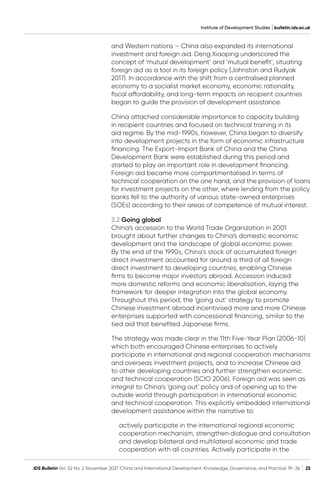and Western nations – China also expanded its international investment and foreign aid. Deng Xiaoping underscored the concept of 'mutual development' and 'mutual benefit', situating foreign aid as a tool in its foreign policy (Johnston and Rudyak 2017). In accordance with the shift from a centralised planned economy to a socialist market economy, economic rationality, fiscal affordability, and long-term impacts on recipient countries began to guide the provision of development assistance.

China attached considerable importance to capacity building in recipient countries and focused on technical training in its aid regime. By the mid-1990s, however, China began to diversify into development projects in the form of economic infrastructure financing. The Export-Import Bank of China and the China Development Bank were established during this period and started to play an important role in development financing. Foreign aid became more compartmentalised in terms of technical cooperation on the one hand, and the provision of loans for investment projects on the other, where lending from the policy banks fell to the authority of various state-owned enterprises (SOEs) according to their areas of competence of mutual interest.

#### **3.2 Going global**

China's accession to the World Trade Organization in 2001 brought about further changes to China's domestic economic development and the landscape of global economic power. By the end of the 1990s, China's stock of accumulated foreign direct investment accounted for around a third of all foreign direct investment to developing countries, enabling Chinese firms to become major investors abroad. Accession induced more domestic reforms and economic liberalisation, laying the framework for deeper integration into the global economy. Throughout this period, the 'going out' strategy to promote Chinese investment abroad incentivised more and more Chinese enterprises supported with concessional financing, similar to the tied aid that benefited Japanese firms.

The strategy was made clear in the 11th Five-Year Plan (2006-10) which both encouraged Chinese enterprises to actively participate in international and regional cooperation mechanisms and overseas investment projects, and to increase Chinese aid to other developing countries and further strengthen economic and technical cooperation (SCIO 2006). Foreign aid was seen as integral to China's 'going out' policy and of opening up to the outside world through participation in international economic and technical cooperation. This explicitly embedded international development assistance within the narrative to:

actively participate in the international regional economic cooperation mechanism, strengthen dialogue and consultation and develop bilateral and multilateral economic and trade cooperation with all countries. Actively participate in the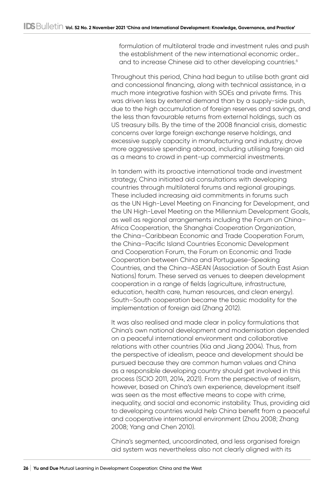formulation of multilateral trade and investment rules and push the establishment of the new international economic order… and to increase Chinese aid to other developing countries.<sup>6</sup>

Throughout this period, China had begun to utilise both grant aid and concessional financing, along with technical assistance, in a much more integrative fashion with SOEs and private firms. This was driven less by external demand than by a supply-side push, due to the high accumulation of foreign reserves and savings, and the less than favourable returns from external holdings, such as US treasury bills. By the time of the 2008 financial crisis, domestic concerns over large foreign exchange reserve holdings, and excessive supply capacity in manufacturing and industry, drove more aggressive spending abroad, including utilising foreign aid as a means to crowd in pent-up commercial investments.

In tandem with its proactive international trade and investment strategy, China initiated aid consultations with developing countries through multilateral forums and regional groupings. These included increasing aid commitments in forums such as the UN High-Level Meeting on Financing for Development, and the UN High-Level Meeting on the Millennium Development Goals, as well as regional arrangements including the Forum on China– Africa Cooperation, the Shanghai Cooperation Organization, the China–Caribbean Economic and Trade Cooperation Forum, the China–Pacific Island Countries Economic Development and Cooperation Forum, the Forum on Economic and Trade Cooperation between China and Portuguese-Speaking Countries, and the China–ASEAN (Association of South East Asian Nations) forum. These served as venues to deepen development cooperation in a range of fields (agriculture, infrastructure, education, health care, human resources, and clean energy). South–South cooperation became the basic modality for the implementation of foreign aid (Zhang 2012).

It was also realised and made clear in policy formulations that China's own national development and modernisation depended on a peaceful international environment and collaborative relations with other countries (Xia and Jiang 2004). Thus, from the perspective of idealism, peace and development should be pursued because they are common human values and China as a responsible developing country should get involved in this process (SCIO 2011, 2014, 2021). From the perspective of realism, however, based on China's own experience, development itself was seen as the most effective means to cope with crime, inequality, and social and economic instability. Thus, providing aid to developing countries would help China benefit from a peaceful and cooperative international environment (Zhou 2008; Zhang 2008; Yang and Chen 2010).

China's segmented, uncoordinated, and less organised foreign aid system was nevertheless also not clearly aligned with its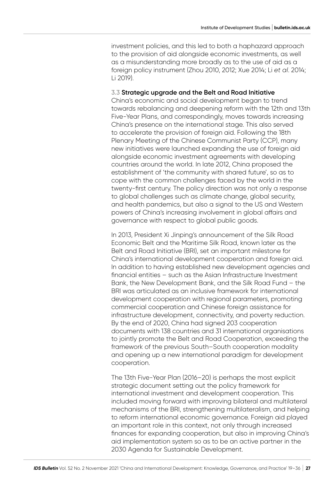investment policies, and this led to both a haphazard approach to the provision of aid alongside economic investments, as well as a misunderstanding more broadly as to the use of aid as a foreign policy instrument (Zhou 2010, 2012; Xue 2014; Li *et al*. 2014; Li 2019).

#### **3.3 Strategic upgrade and the Belt and Road Initiative**

China's economic and social development began to trend towards rebalancing and deepening reform with the 12th and 13th Five-Year Plans, and correspondingly, moves towards increasing China's presence on the international stage. This also served to accelerate the provision of foreign aid. Following the 18th Plenary Meeting of the Chinese Communist Party (CCP), many new initiatives were launched expanding the use of foreign aid alongside economic investment agreements with developing countries around the world. In late 2012, China proposed the establishment of 'the community with shared future', so as to cope with the common challenges faced by the world in the twenty-first century. The policy direction was not only a response to global challenges such as climate change, global security, and health pandemics, but also a signal to the US and Western powers of China's increasing involvement in global affairs and governance with respect to global public goods.

In 2013, President Xi Jinping's announcement of the Silk Road Economic Belt and the Maritime Silk Road, known later as the Belt and Road Initiative (BRI), set an important milestone for China's international development cooperation and foreign aid. In addition to having established new development agencies and financial entities – such as the Asian Infrastructure Investment Bank, the New Development Bank, and the Silk Road Fund – the BRI was articulated as an inclusive framework for international development cooperation with regional parameters, promoting commercial cooperation and Chinese foreign assistance for infrastructure development, connectivity, and poverty reduction. By the end of 2020, China had signed 203 cooperation documents with 138 countries and 31 international organisations to jointly promote the Belt and Road Cooperation, exceeding the framework of the previous South–South cooperation modality and opening up a new international paradigm for development cooperation.

The 13th Five-Year Plan (2016–20) is perhaps the most explicit strategic document setting out the policy framework for international investment and development cooperation. This included moving forward with improving bilateral and multilateral mechanisms of the BRI, strengthening multilateralism, and helping to reform international economic governance. Foreign aid played an important role in this context, not only through increased finances for expanding cooperation, but also in improving China's aid implementation system so as to be an active partner in the 2030 Agenda for Sustainable Development.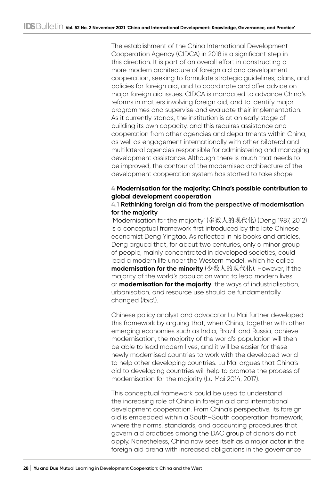The establishment of the China International Development Cooperation Agency (CIDCA) in 2018 is a significant step in this direction. It is part of an overall effort in constructing a more modern architecture of foreign aid and development cooperation, seeking to formulate strategic guidelines, plans, and policies for foreign aid, and to coordinate and offer advice on major foreign aid issues. CIDCA is mandated to advance China's reforms in matters involving foreign aid, and to identify major programmes and supervise and evaluate their implementation. As it currently stands, the institution is at an early stage of building its own capacity, and this requires assistance and cooperation from other agencies and departments within China, as well as engagement internationally with other bilateral and multilateral agencies responsible for administering and managing development assistance. Although there is much that needs to be improved, the contour of the modernised architecture of the development cooperation system has started to take shape.

# **4 Modernisation for the majority: China's possible contribution to global development cooperation**

# **4.1 Rethinking foreign aid from the perspective of modernisation for the majority**

'Modernisation for the majority' (多数人的现代化) (Deng 1987, 2012) is a conceptual framework first introduced by the late Chinese economist Deng Yingtao. As reflected in his books and articles, Deng argued that, for about two centuries, only a minor group of people, mainly concentrated in developed societies, could lead a modern life under the Western model, which he called **modernisation for the minority** (少数人的现代化). However, if the majority of the world's population want to lead modern lives, or **modernisation for the majority**, the ways of industrialisation, urbanisation, and resource use should be fundamentally changed (*ibid*.).

Chinese policy analyst and advocator Lu Mai further developed this framework by arguing that, when China, together with other emerging economies such as India, Brazil, and Russia, achieve modernisation, the majority of the world's population will then be able to lead modern lives, and it will be easier for these newly modernised countries to work with the developed world to help other developing countries. Lu Mai argues that China's aid to developing countries will help to promote the process of modernisation for the majority (Lu Mai 2014, 2017).

This conceptual framework could be used to understand the increasing role of China in foreign aid and international development cooperation. From China's perspective, its foreign aid is embedded within a South–South cooperation framework, where the norms, standards, and accounting procedures that govern aid practices among the DAC group of donors do not apply. Nonetheless, China now sees itself as a major actor in the foreign aid arena with increased obligations in the governance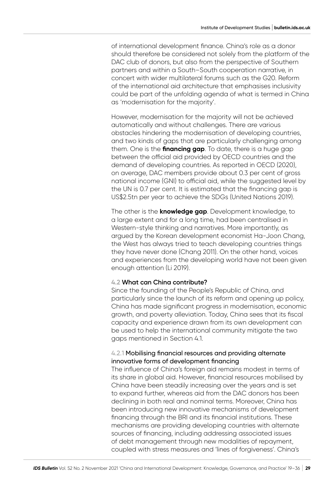of international development finance. China's role as a donor should therefore be considered not solely from the platform of the DAC club of donors, but also from the perspective of Southern partners and within a South–South cooperation narrative, in concert with wider multilateral forums such as the G20. Reform of the international aid architecture that emphasises inclusivity could be part of the unfolding agenda of what is termed in China as 'modernisation for the majority'.

However, modernisation for the majority will not be achieved automatically and without challenges. There are various obstacles hindering the modernisation of developing countries, and two kinds of gaps that are particularly challenging among them. One is the **financing gap**. To date, there is a huge gap between the official aid provided by OECD countries and the demand of developing countries. As reported in OECD (2020), on average, DAC members provide about 0.3 per cent of gross national income (GNI) to official aid, while the suggested level by the UN is 0.7 per cent. It is estimated that the financing gap is US\$2.5tn per year to achieve the SDGs (United Nations 2019).

The other is the **knowledge gap**. Development knowledge, to a large extent and for a long time, had been centralised in Western-style thinking and narratives. More importantly, as argued by the Korean development economist Ha-Joon Chang, the West has always tried to teach developing countries things they have never done (Chang 2011). On the other hand, voices and experiences from the developing world have not been given enough attention (Li 2019).

#### **4.2 What can China contribute?**

Since the founding of the People's Republic of China, and particularly since the launch of its reform and opening up policy, China has made significant progress in modernisation, economic growth, and poverty alleviation. Today, China sees that its fiscal capacity and experience drawn from its own development can be used to help the international community mitigate the two gaps mentioned in Section 4.1.

## 4.2.1 Mobilising financial resources and providing alternate innovative forms of development financing

The influence of China's foreign aid remains modest in terms of its share in global aid. However, financial resources mobilised by China have been steadily increasing over the years and is set to expand further, whereas aid from the DAC donors has been declining in both real and nominal terms. Moreover, China has been introducing new innovative mechanisms of development financing through the BRI and its financial institutions. These mechanisms are providing developing countries with alternate sources of financing, including addressing associated issues of debt management through new modalities of repayment, coupled with stress measures and 'lines of forgiveness'. China's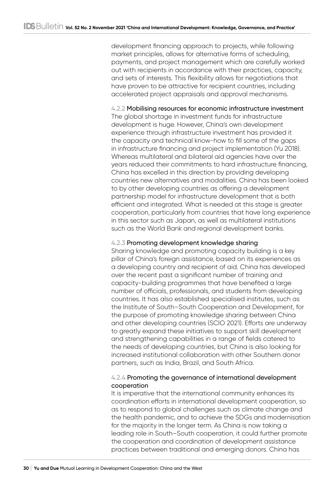development financing approach to projects, while following market principles, allows for alternative forms of scheduling, payments, and project management which are carefully worked out with recipients in accordance with their practices, capacity, and sets of interests. This flexibility allows for negotiations that have proven to be attractive for recipient countries, including accelerated project appraisals and approval mechanisms.

4.2.2 Mobilising resources for economic infrastructure investment The global shortage in investment funds for infrastructure development is huge. However, China's own development experience through infrastructure investment has provided it the capacity and technical know-how to fill some of the gaps in infrastructure financing and project implementation (Yu 2018). Whereas multilateral and bilateral aid agencies have over the years reduced their commitments to hard infrastructure financing, China has excelled in this direction by providing developing countries new alternatives and modalities. China has been looked to by other developing countries as offering a development partnership model for infrastructure development that is both efficient and integrated. What is needed at this stage is greater cooperation, particularly from countries that have long experience in this sector such as Japan, as well as multilateral institutions such as the World Bank and regional development banks.

## 4.2.3 Promoting development knowledge sharing

Sharing knowledge and promoting capacity building is a key pillar of China's foreign assistance, based on its experiences as a developing country and recipient of aid. China has developed over the recent past a significant number of training and capacity-building programmes that have benefited a large number of officials, professionals, and students from developing countries. It has also established specialised institutes, such as the Institute of South–South Cooperation and Development, for the purpose of promoting knowledge sharing between China and other developing countries (SCIO 2021). Efforts are underway to greatly expand these initiatives to support skill development and strengthening capabilities in a range of fields catered to the needs of developing countries, but China is also looking for increased institutional collaboration with other Southern donor partners, such as India, Brazil, and South Africa.

# 4.2.4 Promoting the governance of international development cooperation

It is imperative that the international community enhances its coordination efforts in international development cooperation, so as to respond to global challenges such as climate change and the health pandemic, and to achieve the SDGs and modernisation for the majority in the longer term. As China is now taking a leading role in South–South cooperation, it could further promote the cooperation and coordination of development assistance practices between traditional and emerging donors. China has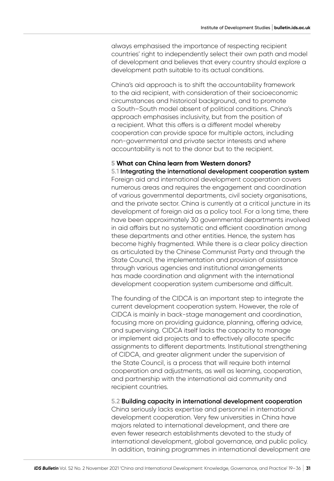always emphasised the importance of respecting recipient countries' right to independently select their own path and model of development and believes that every country should explore a development path suitable to its actual conditions.

China's aid approach is to shift the accountability framework to the aid recipient, with consideration of their socioeconomic circumstances and historical background, and to promote a South–South model absent of political conditions. China's approach emphasises inclusivity, but from the position of a recipient. What this offers is a different model whereby cooperation can provide space for multiple actors, including non-governmental and private sector interests and where accountability is not to the donor but to the recipient.

#### **5 What can China learn from Western donors?**

**5.1 Integrating the international development cooperation system** Foreign aid and international development cooperation covers numerous areas and requires the engagement and coordination of various governmental departments, civil society organisations, and the private sector. China is currently at a critical juncture in its development of foreign aid as a policy tool. For a long time, there have been approximately 30 governmental departments involved in aid affairs but no systematic and efficient coordination among these departments and other entities. Hence, the system has become highly fragmented. While there is a clear policy direction as articulated by the Chinese Communist Party and through the State Council, the implementation and provision of assistance through various agencies and institutional arrangements has made coordination and alignment with the international development cooperation system cumbersome and difficult.

The founding of the CIDCA is an important step to integrate the current development cooperation system. However, the role of CIDCA is mainly in back-stage management and coordination, focusing more on providing guidance, planning, offering advice, and supervising. CIDCA itself lacks the capacity to manage or implement aid projects and to effectively allocate specific assignments to different departments. Institutional strengthening of CIDCA, and greater alignment under the supervision of the State Council, is a process that will require both internal cooperation and adjustments, as well as learning, cooperation, and partnership with the international aid community and recipient countries.

**5.2 Building capacity in international development cooperation** China seriously lacks expertise and personnel in international development cooperation. Very few universities in China have majors related to international development, and there are even fewer research establishments devoted to the study of international development, global governance, and public policy. In addition, training programmes in international development are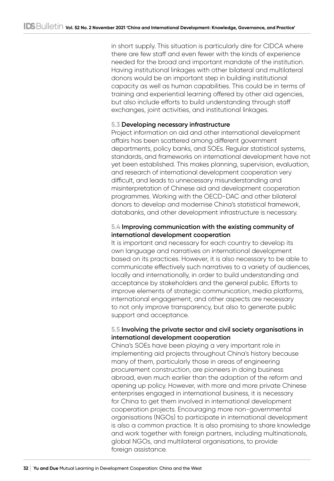in short supply. This situation is particularly dire for CIDCA where there are few staff and even fewer with the kinds of experience needed for the broad and important mandate of the institution. Having institutional linkages with other bilateral and multilateral donors would be an important step in building institutional capacity as well as human capabilities. This could be in terms of training and experiential learning offered by other aid agencies, but also include efforts to build understanding through staff exchanges, joint activities, and institutional linkages.

# **5.3 Developing necessary infrastructure**

Project information on aid and other international development affairs has been scattered among different government departments, policy banks, and SOEs. Regular statistical systems, standards, and frameworks on international development have not yet been established. This makes planning, supervision, evaluation, and research of international development cooperation very difficult, and leads to unnecessary misunderstanding and misinterpretation of Chinese aid and development cooperation programmes. Working with the OECD-DAC and other bilateral donors to develop and modernise China's statistical framework, databanks, and other development infrastructure is necessary.

# **5.4 Improving communication with the existing community of international development cooperation**

It is important and necessary for each country to develop its own language and narratives on international development based on its practices. However, it is also necessary to be able to communicate effectively such narratives to a variety of audiences, locally and internationally, in order to build understanding and acceptance by stakeholders and the general public. Efforts to improve elements of strategic communication, media platforms, international engagement, and other aspects are necessary to not only improve transparency, but also to generate public support and acceptance.

# **5.5 Involving the private sector and civil society organisations in international development cooperation**

China's SOEs have been playing a very important role in implementing aid projects throughout China's history because many of them, particularly those in areas of engineering procurement construction, are pioneers in doing business abroad, even much earlier than the adoption of the reform and opening up policy. However, with more and more private Chinese enterprises engaged in international business, it is necessary for China to get them involved in international development cooperation projects. Encouraging more non-governmental organisations (NGOs) to participate in international development is also a common practice. It is also promising to share knowledge and work together with foreign partners, including multinationals, global NGOs, and multilateral organisations, to provide foreign assistance.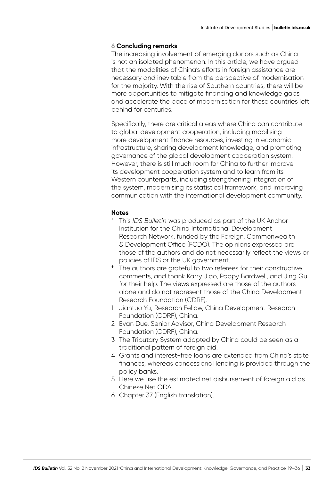#### **6 Concluding remarks**

The increasing involvement of emerging donors such as China is not an isolated phenomenon. In this article, we have argued that the modalities of China's efforts in foreign assistance are necessary and inevitable from the perspective of modernisation for the majority. With the rise of Southern countries, there will be more opportunities to mitigate financing and knowledge gaps and accelerate the pace of modernisation for those countries left behind for centuries.

Specifically, there are critical areas where China can contribute to global development cooperation, including mobilising more development finance resources, investing in economic infrastructure, sharing development knowledge, and promoting governance of the global development cooperation system. However, there is still much room for China to further improve its development cooperation system and to learn from its Western counterparts, including strengthening integration of the system, modernising its statistical framework, and improving communication with the international development community.

#### **Notes**

- This *IDS Bulletin* was produced as part of the UK Anchor Institution for the China International Development Research Network, funded by the Foreign, Commonwealth & Development Office (FCDO). The opinions expressed are those of the authors and do not necessarily reflect the views or policies of IDS or the UK government.
- <sup>+</sup> The authors are grateful to two referees for their constructive comments, and thank Karry Jiao, Poppy Bardwell, and Jing Gu for their help. The views expressed are those of the authors alone and do not represent those of the China Development Research Foundation (CDRF).
- 1 Jiantuo Yu, Research Fellow, China Development Research Foundation (CDRF), China.
- 2 Evan Due, Senior Advisor, China Development Research Foundation (CDRF), China.
- 3 The Tributary System adopted by China could be seen as a traditional pattern of foreign aid.
- 4 Grants and interest-free loans are extended from China's state finances, whereas concessional lending is provided through the policy banks.
- 5 Here we use the estimated net disbursement of foreign aid as Chinese Net ODA.
- 6 Chapter 37 (English translation).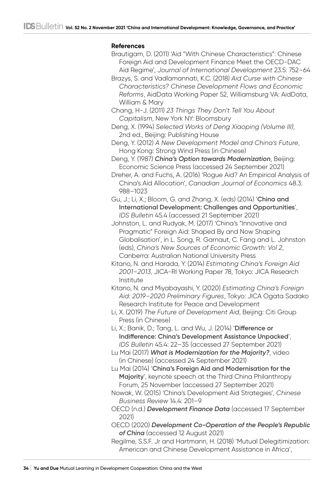#### **References**

- Brautigam, D. (2011) 'Aid "With Chinese Characteristics": Chinese Foreign Aid and Development Finance Meet the OECD-DAC Aid Regime', *Journal of International Development* 23.5: 752–64
- Brazys, S. and Vadlamannati, K.C. (2018) *Aid Curse with Chinese Characteristics? Chinese Development Flows and Economic Reforms*, AidData Working Paper 52, Williamsburg VA: AidData, William & Mary
- Chang, H-J. (2011) *23 Things They Don't Tell You About Capitalism*, New York NY: Bloomsbury
- Deng, X. (1994) *Selected Works of Deng Xiaoping (Volume III)*, 2nd ed., Beijing: Publishing House
- Deng, Y. (2012) *A New Development Model and China's Future*, Hong Kong: Strong Wind Press (in Chinese)
- Deng, Y. (1987) *[China's Option towards Modernization](https://xueshu.baidu.com/usercenter/paper/show?paperid=321c473ac0a6ad8cfa00ead568e75185&site=xueshu_se)*, Beijing: Economic Science Press (accessed 24 September 2021)
- Dreher, A. and Fuchs, A. (2016) 'Rogue Aid? An Empirical Analysis of China's Aid Allocation', *Canadian Journal of Economics* 48.3: 988–1023
- Gu, J.; Li, X.; Bloom, G. and Zhang, X. (eds) (2014) '**[China and](https://bulletin.ids.ac.uk/index.php/idsbo/issue/view/22)  [International Development: Challenges and Opportunities](https://bulletin.ids.ac.uk/index.php/idsbo/issue/view/22)**', *IDS Bulletin* 45.4 (accessed 21 September 2021)
- Johnston, L. and Rudyak, M. (2017) 'China's "Innovative and Pragmatic" Foreign Aid: Shaped By and Now Shaping Globalisation', in L. Song, R. Garnaut, C. Fang and L. Johnston (eds), *China's New Sources of Economic Growth: Vol 2*, Canberra: Australian National University Press
- Kitano, N. and Harada, Y. (2014) *Estimating China's Foreign Aid 2001–2013*, JICA-RI Working Paper 78, Tokyo: JICA Research Institute
- Kitano, N. and Miyabayashi, Y. (2020) *Estimating China's Foreign Aid: 2019–2020 Preliminary Figures*, Tokyo: JICA Ogata Sadako Research Institute for Peace and Development
- Li, X. (2019) *The Future of Development Aid*, Beijing: Citi Group Press (in Chinese)
- Li, X.; Banik, D.; Tang, L. and Wu, J. (2014) '**[Difference or](https://bulletin.ids.ac.uk/index.php/idsbo/article/view/158)  [Indifference: China's Development Assistance Unpacked](https://bulletin.ids.ac.uk/index.php/idsbo/article/view/158)**', *IDS Bulletin* 45.4: 22–35 (accessed 27 September 2021)
- Lu Mai (2017) *[What is Modernization for the Majority?](http://tv.people.com.cn/n1/2017/0302/c150722-29118821.html)*, video (in Chinese) (accessed 24 September 2021)
- Lu Mai (2014) '**[China's Foreign Aid and Modernisation for the](https://eur02.safelinks.protection.outlook.com/?url=https%3A%2F%2Fmoney.163.com%2Fspecial%2F2014zggylt%2F&data=04%7C01%7CB.Richard%40ids.ac.uk%7C53c24998fa364efdd4bb08d98005f5bd%7Ce78be64af7754a2e9ec85e66e224b88f%7C0%7C0%7C637681585974948625%7CUnknown%7CTWFpbGZsb3d8eyJWIjoiMC4wLjAwMDAiLCJQIjoiV2luMzIiLCJBTiI6Ik1haWwiLCJXVCI6Mn0%3D%7C0&sdata=LHmtXZZ5nuvp7Pu5ppqFj8Y%2Bh9t94ctfpIJkKpLPnRQ%3D&reserved=0)  [Majority](https://eur02.safelinks.protection.outlook.com/?url=https%3A%2F%2Fmoney.163.com%2Fspecial%2F2014zggylt%2F&data=04%7C01%7CB.Richard%40ids.ac.uk%7C53c24998fa364efdd4bb08d98005f5bd%7Ce78be64af7754a2e9ec85e66e224b88f%7C0%7C0%7C637681585974948625%7CUnknown%7CTWFpbGZsb3d8eyJWIjoiMC4wLjAwMDAiLCJQIjoiV2luMzIiLCJBTiI6Ik1haWwiLCJXVCI6Mn0%3D%7C0&sdata=LHmtXZZ5nuvp7Pu5ppqFj8Y%2Bh9t94ctfpIJkKpLPnRQ%3D&reserved=0)**', keynote speech at the Third China Philanthropy Forum, 25 November (accessed 27 September 2021)
- Nowak, W. (2015) 'China's Development Aid Strategies', *Chinese Business Review* 14.4: 201–9
- OECD (n.d.) *[Development Finance Data](https://www.oecd.org/dac/financing-sustainable-development/development-finance-data/)* (accessed 17 September 2021)
- OECD (2020) *[Development Co-Operation of the People's Republic](https://www.oecd.org/china/chinas-development-co-operation.htm)  [of China](https://www.oecd.org/china/chinas-development-co-operation.htm)* (accessed 12 August 2021)
- Regilme, S.S.F. Jr and Hartmann, H. (2018) 'Mutual Delegitimization: American and Chinese Development Assistance in Africa',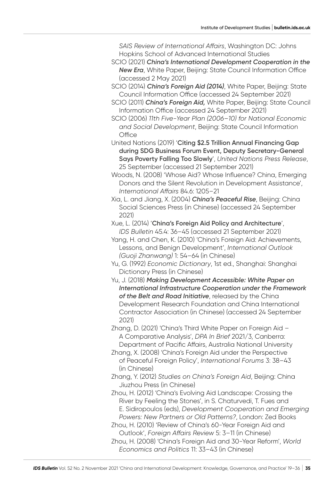*SAIS Review of International Affairs*, Washington DC: Johns Hopkins School of Advanced International Studies

- SCIO (2021) *[China's International Development Cooperation in the](http://english.www.gov.cn/archive/whitepaper/202101/10/content_WS5ffa6bbbc6d0f72576943922.html)  [New Era](http://english.www.gov.cn/archive/whitepaper/202101/10/content_WS5ffa6bbbc6d0f72576943922.html)*, White Paper, Beijing: State Council Information Office (accessed 2 May 2021)
- SCIO (2014) *[China's Foreign Aid](http://www.scio.gov.cn/zfbps/ndhf/2014/document/1375014/1375014.htm) (2014)*, White Paper, Beijing: State Council Information Office (accessed 24 September 2021)
- SCIO (2011) *[China's Foreign Aid](http://www.chinadaily.com.cn/opinion/2011-04/22/content_12374296.htm),* White Paper, Beijing: State Council Information Office (accessed 24 September 2021)
- SCIO (2006) *11th Five-Year Plan (2006–10) for National Economic and Social Development*, Beijing: State Council Information **Office**
- United Nations (2019) '**[Citing \\$2.5 Trillion Annual Financing Gap](https://www.un.org/press/en/2019/dsgsm1340.doc.htm)  [during SDG Business Forum Event, Deputy Secretary-General](https://www.un.org/press/en/2019/dsgsm1340.doc.htm)  [Says Poverty Falling Too Slowly](https://www.un.org/press/en/2019/dsgsm1340.doc.htm)**', *United Nations Press Release*, 25 September (accessed 21 September 2021)
- Woods, N. (2008) 'Whose Aid? Whose Influence? China, Emerging Donors and the Silent Revolution in Development Assistance', *International Affairs* 84.6: 1205–21
- Xia, L. and Jiang, X. (2004) *[China's Peaceful Rise](https://xueshu.baidu.com/usercenter/paper/show?paperid=57c2f08f9688d63c5e829d185ee41b57&site=xueshu_se)*, Beijing: China Social Sciences Press (in Chinese) (accessed 24 September 2021)
- Xue, L. (2014) '**[China's Foreign Aid Policy and Architecture](https://bulletin.ids.ac.uk/index.php/idsbo/article/view/159)**', *IDS Bulletin* 45.4: 36–45 (accessed 21 September 2021)
- Yang, H. and Chen, K. (2010) 'China's Foreign Aid: Achievements, Lessons, and Benign Development', *International Outlook (Guoji Zhanwang)* 1: 54–64 (in Chinese)
- Yu, G. (1992) *Economic Dictionary*, 1st ed., Shanghai: Shanghai Dictionary Press (in Chinese)
- Yu, J. (2018) *[Making Development Accessible: White Paper on](https://www.pishu.com.cn/skwx_ps/manuPreview?SiteID=14&ID=130)  [International Infrastructure Cooperation under the Framework](https://www.pishu.com.cn/skwx_ps/manuPreview?SiteID=14&ID=130)  [of the Belt and Road Initiative](https://www.pishu.com.cn/skwx_ps/manuPreview?SiteID=14&ID=130)*, released by the China Development Research Foundation and China International Contractor Association (in Chinese) (accessed 24 September 2021)
- Zhang, D. (2021) 'China's Third White Paper on Foreign Aid A Comparative Analysis', *DPA In Brief* 2021/3, Canberra: Department of Pacific Affairs, Australia National University
- Zhang, X. (2008) 'China's Foreign Aid under the Perspective of Peaceful Foreign Policy', *International Forums* 3: 38–43 (in Chinese)
- Zhang, Y. (2012) *Studies on China's Foreign Aid*, Beijing: China Jiuzhou Press (in Chinese)
- Zhou, H. (2012) 'China's Evolving Aid Landscape: Crossing the River by Feeling the Stones', in S. Chaturvedi, T. Fues and E. Sidiropoulos (eds), *Development Cooperation and Emerging Powers: New Partners or Old Patterns?*, London: Zed Books
- Zhou, H. (2010) 'Review of China's 60-Year Foreign Aid and Outlook', *Foreign Affairs Review* 5: 3–11 (in Chinese)
- Zhou, H. (2008) 'China's Foreign Aid and 30-Year Reform', *World Economics and Politics* 11: 33–43 (in Chinese)